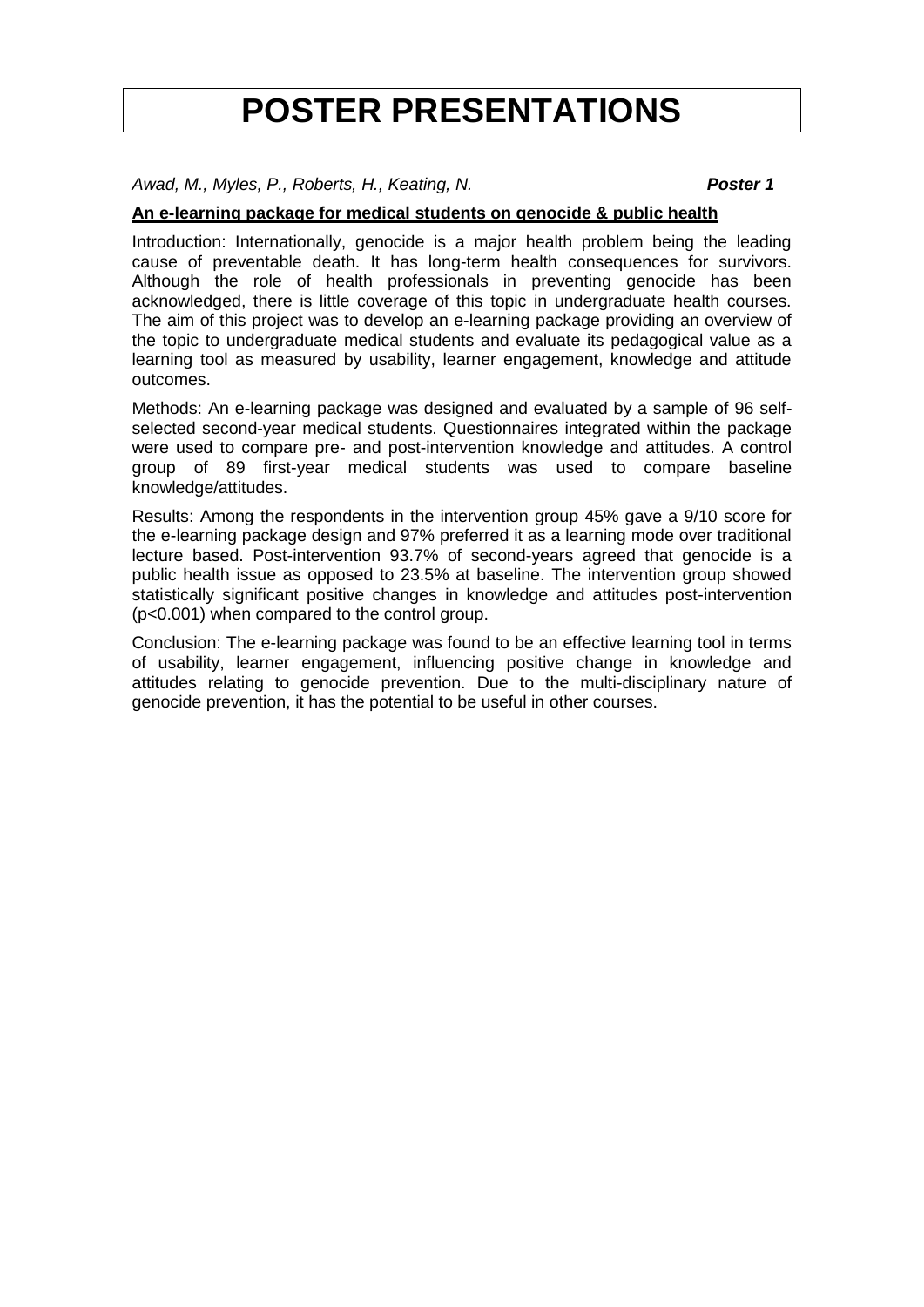# **POSTER PRESENTATIONS**

*Awad, M., Myles, P., Roberts, H., Keating, N. Poster 1*

# **An e-learning package for medical students on genocide & public health**

Introduction: Internationally, genocide is a major health problem being the leading cause of preventable death. It has long-term health consequences for survivors. Although the role of health professionals in preventing genocide has been acknowledged, there is little coverage of this topic in undergraduate health courses. The aim of this project was to develop an e-learning package providing an overview of the topic to undergraduate medical students and evaluate its pedagogical value as a learning tool as measured by usability, learner engagement, knowledge and attitude outcomes.

Methods: An e-learning package was designed and evaluated by a sample of 96 selfselected second-year medical students. Questionnaires integrated within the package were used to compare pre- and post-intervention knowledge and attitudes. A control group of 89 first-year medical students was used to compare baseline knowledge/attitudes.

Results: Among the respondents in the intervention group 45% gave a 9/10 score for the e-learning package design and 97% preferred it as a learning mode over traditional lecture based. Post-intervention 93.7% of second-years agreed that genocide is a public health issue as opposed to 23.5% at baseline. The intervention group showed statistically significant positive changes in knowledge and attitudes post-intervention (p<0.001) when compared to the control group.

Conclusion: The e-learning package was found to be an effective learning tool in terms of usability, learner engagement, influencing positive change in knowledge and attitudes relating to genocide prevention. Due to the multi-disciplinary nature of genocide prevention, it has the potential to be useful in other courses.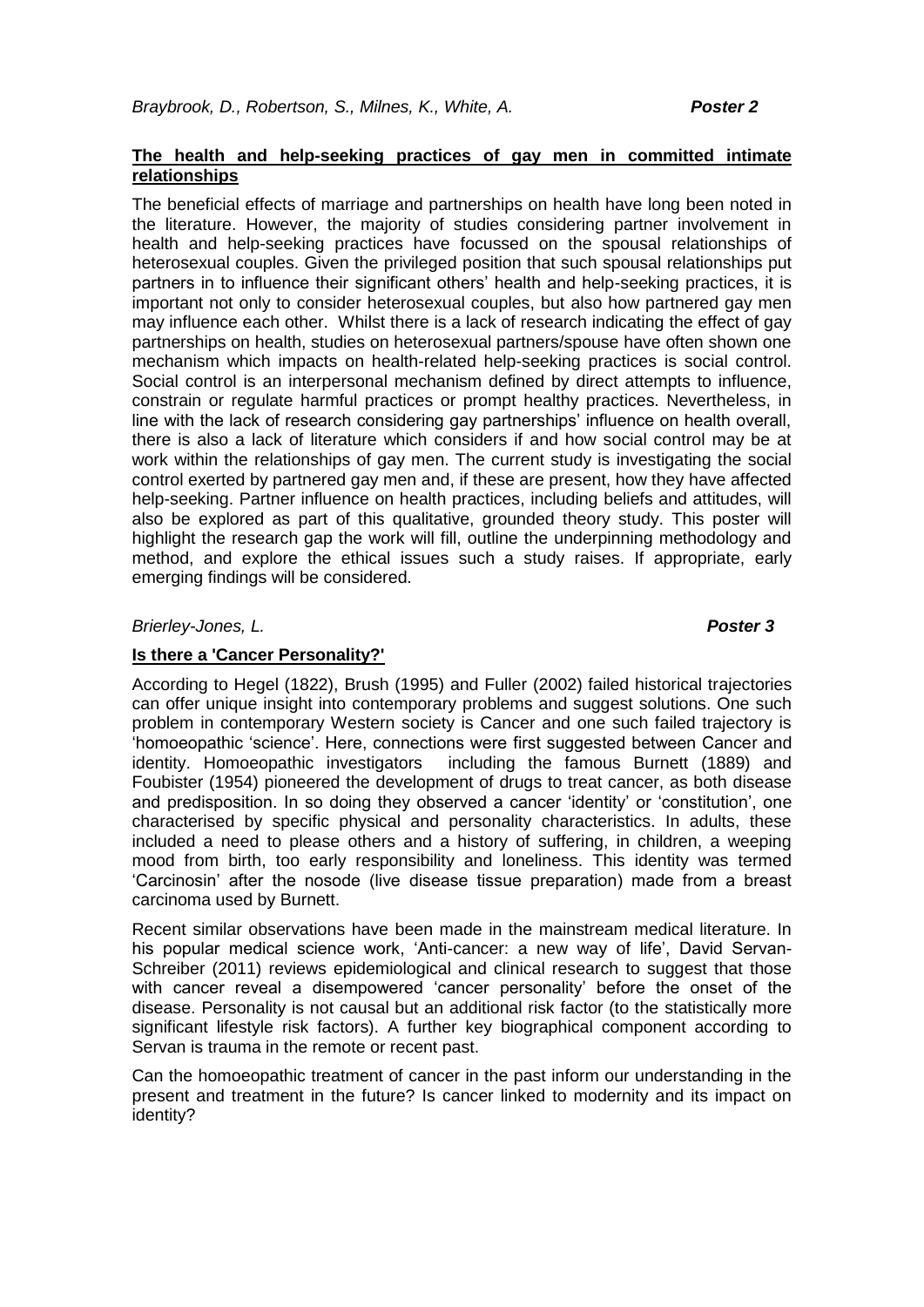# **The health and help-seeking practices of gay men in committed intimate relationships**

The beneficial effects of marriage and partnerships on health have long been noted in the literature. However, the majority of studies considering partner involvement in health and help-seeking practices have focussed on the spousal relationships of heterosexual couples. Given the privileged position that such spousal relationships put partners in to influence their significant others' health and help-seeking practices, it is important not only to consider heterosexual couples, but also how partnered gay men may influence each other. Whilst there is a lack of research indicating the effect of gay partnerships on health, studies on heterosexual partners/spouse have often shown one mechanism which impacts on health-related help-seeking practices is social control. Social control is an interpersonal mechanism defined by direct attempts to influence, constrain or regulate harmful practices or prompt healthy practices. Nevertheless, in line with the lack of research considering gay partnerships' influence on health overall, there is also a lack of literature which considers if and how social control may be at work within the relationships of gay men. The current study is investigating the social control exerted by partnered gay men and, if these are present, how they have affected help-seeking. Partner influence on health practices, including beliefs and attitudes, will also be explored as part of this qualitative, grounded theory study. This poster will highlight the research gap the work will fill, outline the underpinning methodology and method, and explore the ethical issues such a study raises. If appropriate, early emerging findings will be considered.

*Brierley-Jones, L. Poster 3*

# **Is there a 'Cancer Personality?'**

According to Hegel (1822), Brush (1995) and Fuller (2002) failed historical trajectories can offer unique insight into contemporary problems and suggest solutions. One such problem in contemporary Western society is Cancer and one such failed trajectory is 'homoeopathic 'science'. Here, connections were first suggested between Cancer and identity. Homoeopathic investigators including the famous Burnett (1889) and Foubister (1954) pioneered the development of drugs to treat cancer, as both disease and predisposition. In so doing they observed a cancer 'identity' or 'constitution', one characterised by specific physical and personality characteristics. In adults, these included a need to please others and a history of suffering, in children, a weeping mood from birth, too early responsibility and loneliness. This identity was termed 'Carcinosin' after the nosode (live disease tissue preparation) made from a breast carcinoma used by Burnett.

Recent similar observations have been made in the mainstream medical literature. In his popular medical science work, 'Anti-cancer: a new way of life', David Servan-Schreiber (2011) reviews epidemiological and clinical research to suggest that those with cancer reveal a disempowered 'cancer personality' before the onset of the disease. Personality is not causal but an additional risk factor (to the statistically more significant lifestyle risk factors). A further key biographical component according to Servan is trauma in the remote or recent past.

Can the homoeopathic treatment of cancer in the past inform our understanding in the present and treatment in the future? Is cancer linked to modernity and its impact on identity?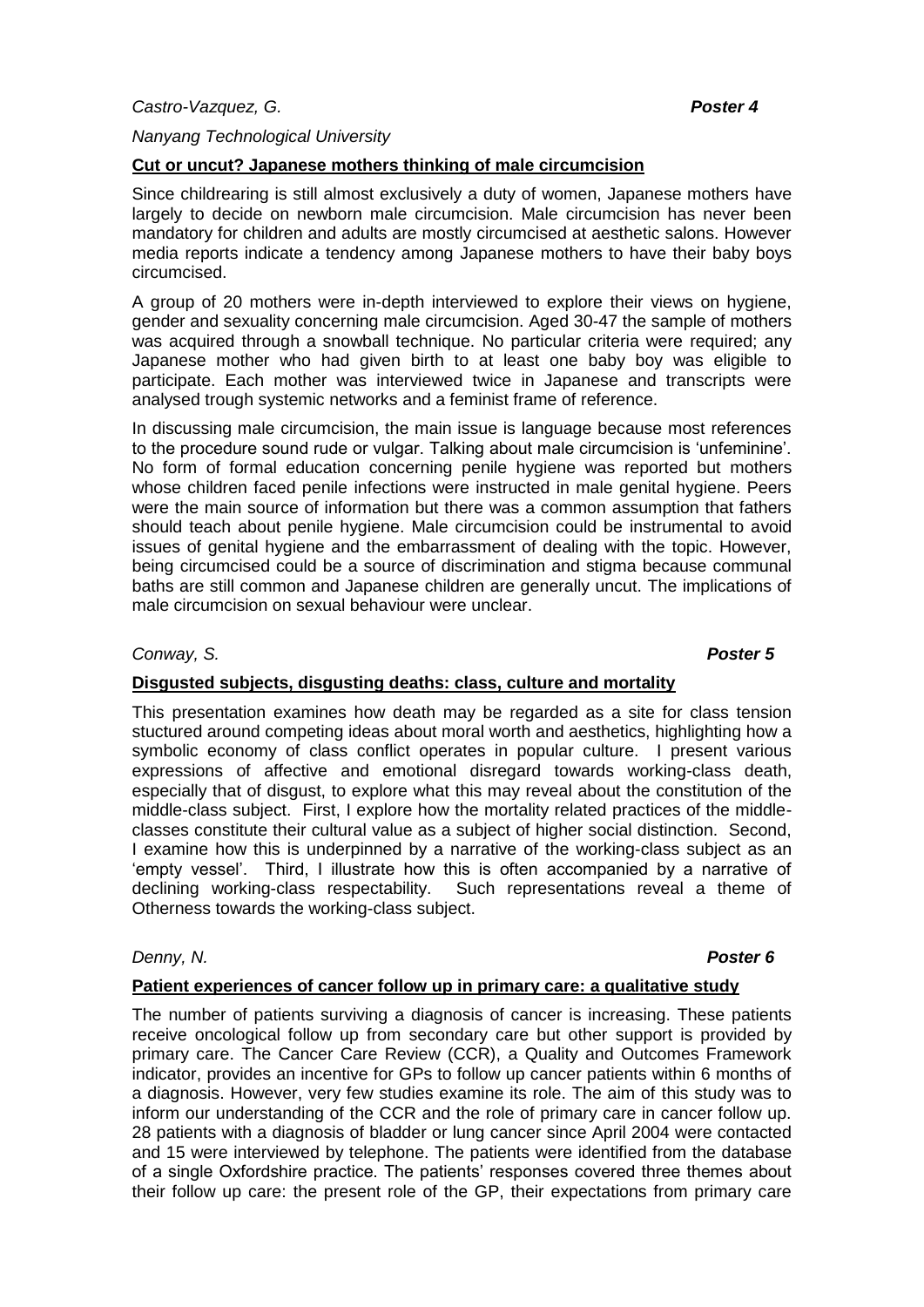#### *Nanyang Technological University*

#### **Cut or uncut? Japanese mothers thinking of male circumcision**

Since childrearing is still almost exclusively a duty of women, Japanese mothers have largely to decide on newborn male circumcision. Male circumcision has never been mandatory for children and adults are mostly circumcised at aesthetic salons. However media reports indicate a tendency among Japanese mothers to have their baby boys circumcised.

A group of 20 mothers were in-depth interviewed to explore their views on hygiene, gender and sexuality concerning male circumcision. Aged 30-47 the sample of mothers was acquired through a snowball technique. No particular criteria were required; any Japanese mother who had given birth to at least one baby boy was eligible to participate. Each mother was interviewed twice in Japanese and transcripts were analysed trough systemic networks and a feminist frame of reference.

In discussing male circumcision, the main issue is language because most references to the procedure sound rude or vulgar. Talking about male circumcision is 'unfeminine'. No form of formal education concerning penile hygiene was reported but mothers whose children faced penile infections were instructed in male genital hygiene. Peers were the main source of information but there was a common assumption that fathers should teach about penile hygiene. Male circumcision could be instrumental to avoid issues of genital hygiene and the embarrassment of dealing with the topic. However, being circumcised could be a source of discrimination and stigma because communal baths are still common and Japanese children are generally uncut. The implications of male circumcision on sexual behaviour were unclear.

#### *Conway, S. Poster 5*

### **Disgusted subjects, disgusting deaths: class, culture and mortality**

This presentation examines how death may be regarded as a site for class tension stuctured around competing ideas about moral worth and aesthetics, highlighting how a symbolic economy of class conflict operates in popular culture. I present various expressions of affective and emotional disregard towards working-class death, especially that of disgust, to explore what this may reveal about the constitution of the middle-class subject. First, I explore how the mortality related practices of the middleclasses constitute their cultural value as a subject of higher social distinction. Second, I examine how this is underpinned by a narrative of the working-class subject as an 'empty vessel'. Third, I illustrate how this is often accompanied by a narrative of declining working-class respectability. Such representations reveal a theme of Otherness towards the working-class subject.

### *Denny, N. Poster 6*

# **Patient experiences of cancer follow up in primary care: a qualitative study**

The number of patients surviving a diagnosis of cancer is increasing. These patients receive oncological follow up from secondary care but other support is provided by primary care. The Cancer Care Review (CCR), a Quality and Outcomes Framework indicator, provides an incentive for GPs to follow up cancer patients within 6 months of a diagnosis. However, very few studies examine its role. The aim of this study was to inform our understanding of the CCR and the role of primary care in cancer follow up. 28 patients with a diagnosis of bladder or lung cancer since April 2004 were contacted and 15 were interviewed by telephone. The patients were identified from the database of a single Oxfordshire practice. The patients' responses covered three themes about their follow up care: the present role of the GP, their expectations from primary care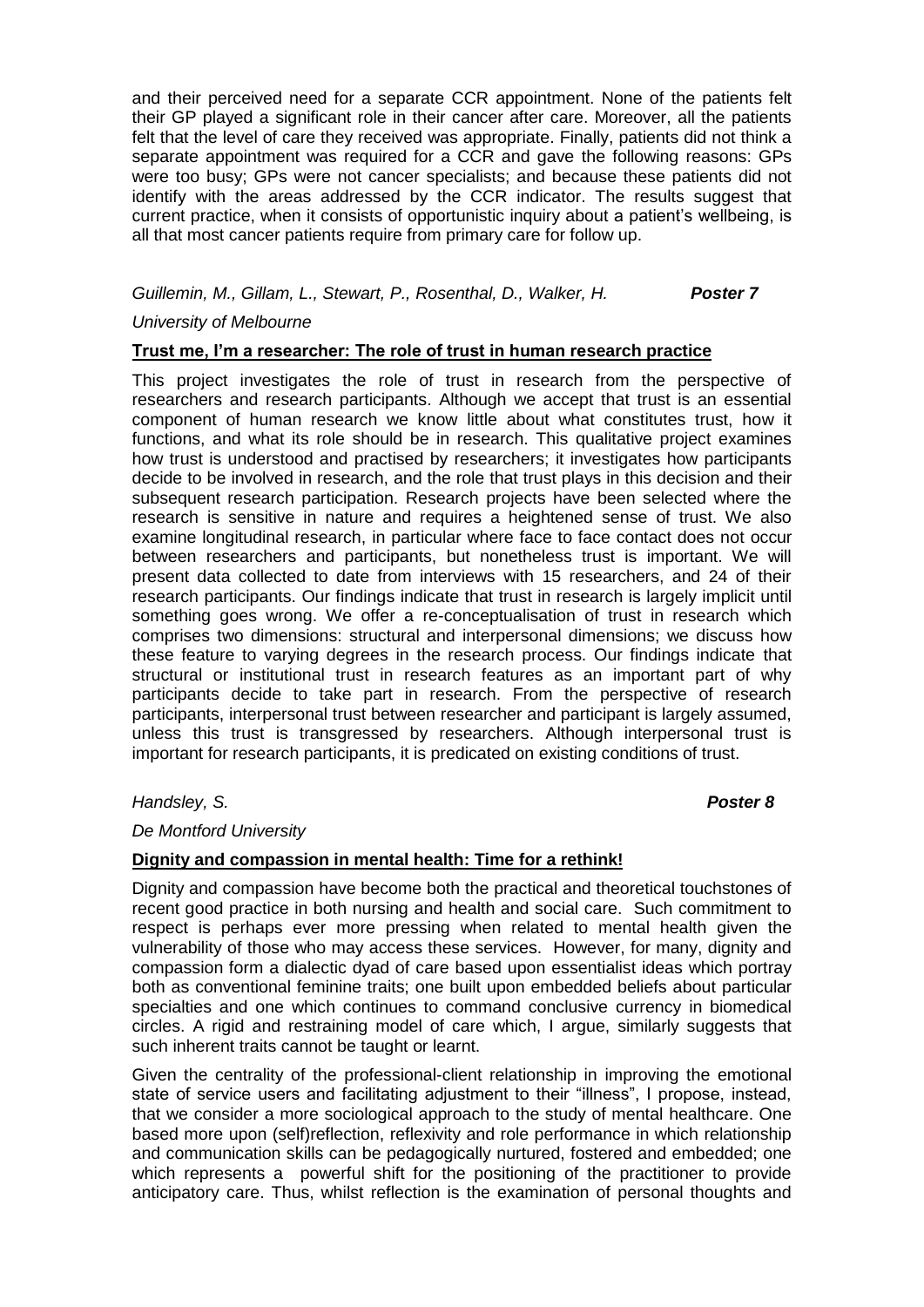and their perceived need for a separate CCR appointment. None of the patients felt their GP played a significant role in their cancer after care. Moreover, all the patients felt that the level of care they received was appropriate. Finally, patients did not think a separate appointment was required for a CCR and gave the following reasons: GPs were too busy; GPs were not cancer specialists; and because these patients did not identify with the areas addressed by the CCR indicator. The results suggest that current practice, when it consists of opportunistic inquiry about a patient's wellbeing, is all that most cancer patients require from primary care for follow up.

# *Guillemin, M., Gillam, L., Stewart, P., Rosenthal, D., Walker, H. Poster 7*

#### *University of Melbourne*

### **Trust me, I'm a researcher: The role of trust in human research practice**

This project investigates the role of trust in research from the perspective of researchers and research participants. Although we accept that trust is an essential component of human research we know little about what constitutes trust, how it functions, and what its role should be in research. This qualitative project examines how trust is understood and practised by researchers; it investigates how participants decide to be involved in research, and the role that trust plays in this decision and their subsequent research participation. Research projects have been selected where the research is sensitive in nature and requires a heightened sense of trust. We also examine longitudinal research, in particular where face to face contact does not occur between researchers and participants, but nonetheless trust is important. We will present data collected to date from interviews with 15 researchers, and 24 of their research participants. Our findings indicate that trust in research is largely implicit until something goes wrong. We offer a re-conceptualisation of trust in research which comprises two dimensions: structural and interpersonal dimensions; we discuss how these feature to varying degrees in the research process. Our findings indicate that structural or institutional trust in research features as an important part of why participants decide to take part in research. From the perspective of research participants, interpersonal trust between researcher and participant is largely assumed, unless this trust is transgressed by researchers. Although interpersonal trust is important for research participants, it is predicated on existing conditions of trust.

### *Handsley, S. Poster 8*

### *De Montford University*

### **Dignity and compassion in mental health: Time for a rethink!**

Dignity and compassion have become both the practical and theoretical touchstones of recent good practice in both nursing and health and social care. Such commitment to respect is perhaps ever more pressing when related to mental health given the vulnerability of those who may access these services. However, for many, dignity and compassion form a dialectic dyad of care based upon essentialist ideas which portray both as conventional feminine traits; one built upon embedded beliefs about particular specialties and one which continues to command conclusive currency in biomedical circles. A rigid and restraining model of care which, I argue, similarly suggests that such inherent traits cannot be taught or learnt.

Given the centrality of the professional-client relationship in improving the emotional state of service users and facilitating adjustment to their "illness", I propose, instead, that we consider a more sociological approach to the study of mental healthcare. One based more upon (self)reflection, reflexivity and role performance in which relationship and communication skills can be pedagogically nurtured, fostered and embedded; one which represents a powerful shift for the positioning of the practitioner to provide anticipatory care. Thus, whilst reflection is the examination of personal thoughts and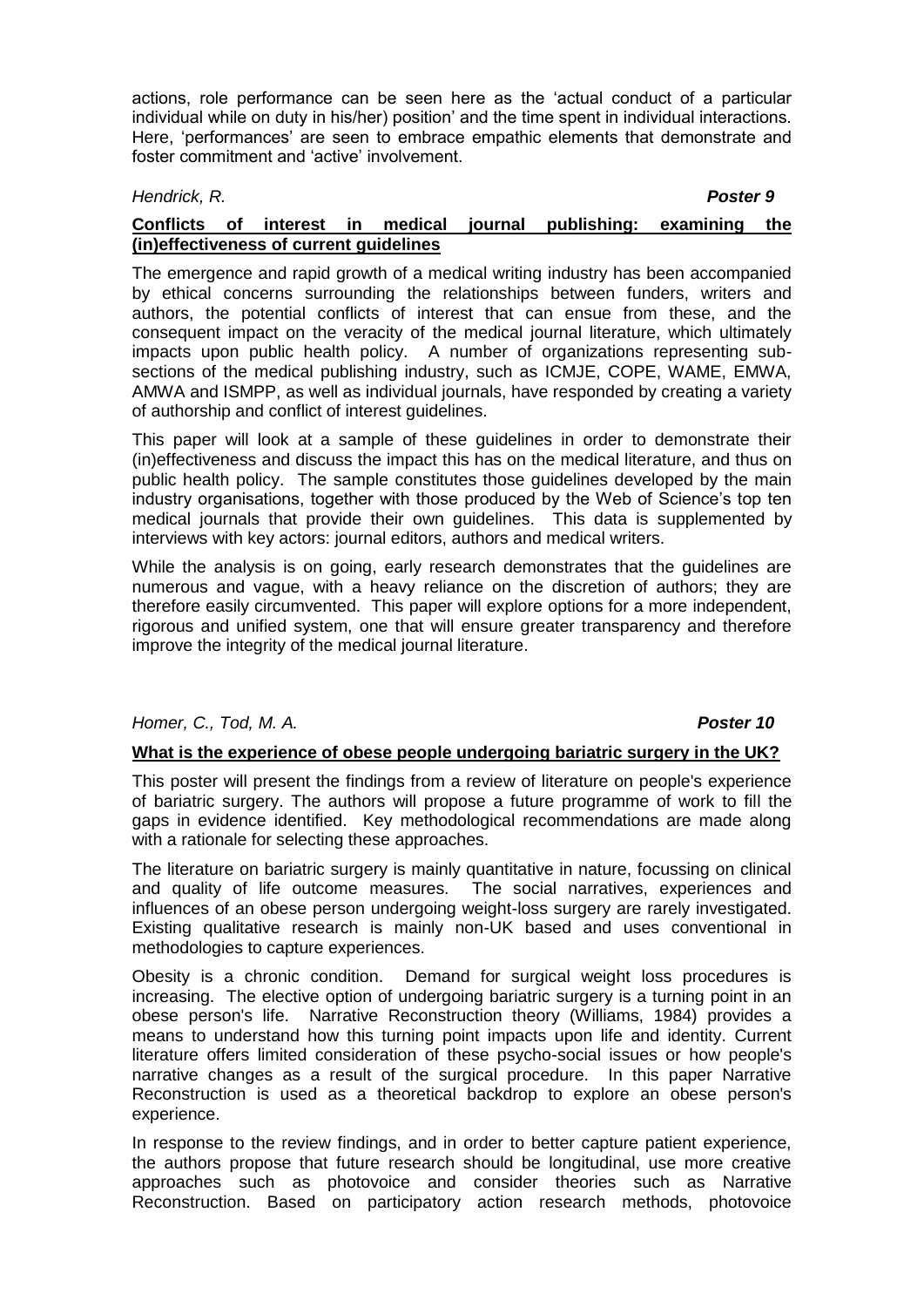actions, role performance can be seen here as the 'actual conduct of a particular individual while on duty in his/her) position' and the time spent in individual interactions. Here, 'performances' are seen to embrace empathic elements that demonstrate and foster commitment and 'active' involvement.

# *Hendrick, R. Poster 9*

# **Conflicts of interest in medical journal publishing: examining the (in)effectiveness of current guidelines**

The emergence and rapid growth of a medical writing industry has been accompanied by ethical concerns surrounding the relationships between funders, writers and authors, the potential conflicts of interest that can ensue from these, and the consequent impact on the veracity of the medical journal literature, which ultimately impacts upon public health policy. A number of organizations representing subsections of the medical publishing industry, such as ICMJE, COPE, WAME, EMWA, AMWA and ISMPP, as well as individual journals, have responded by creating a variety of authorship and conflict of interest guidelines.

This paper will look at a sample of these guidelines in order to demonstrate their (in)effectiveness and discuss the impact this has on the medical literature, and thus on public health policy. The sample constitutes those guidelines developed by the main industry organisations, together with those produced by the Web of Science's top ten medical journals that provide their own guidelines. This data is supplemented by interviews with key actors: journal editors, authors and medical writers.

While the analysis is on going, early research demonstrates that the guidelines are numerous and vague, with a heavy reliance on the discretion of authors; they are therefore easily circumvented. This paper will explore options for a more independent, rigorous and unified system, one that will ensure greater transparency and therefore improve the integrity of the medical journal literature.

# *Homer, C., Tod, M. A. Poster 10*

### **What is the experience of obese people undergoing bariatric surgery in the UK?**

This poster will present the findings from a review of literature on people's experience of bariatric surgery. The authors will propose a future programme of work to fill the gaps in evidence identified. Key methodological recommendations are made along with a rationale for selecting these approaches.

The literature on bariatric surgery is mainly quantitative in nature, focussing on clinical and quality of life outcome measures. The social narratives, experiences and influences of an obese person undergoing weight-loss surgery are rarely investigated. Existing qualitative research is mainly non-UK based and uses conventional in methodologies to capture experiences.

Obesity is a chronic condition. Demand for surgical weight loss procedures is increasing. The elective option of undergoing bariatric surgery is a turning point in an obese person's life. Narrative Reconstruction theory (Williams, 1984) provides a means to understand how this turning point impacts upon life and identity. Current literature offers limited consideration of these psycho-social issues or how people's narrative changes as a result of the surgical procedure. In this paper Narrative Reconstruction is used as a theoretical backdrop to explore an obese person's experience.

In response to the review findings, and in order to better capture patient experience, the authors propose that future research should be longitudinal, use more creative approaches such as photovoice and consider theories such as Narrative Reconstruction. Based on participatory action research methods, photovoice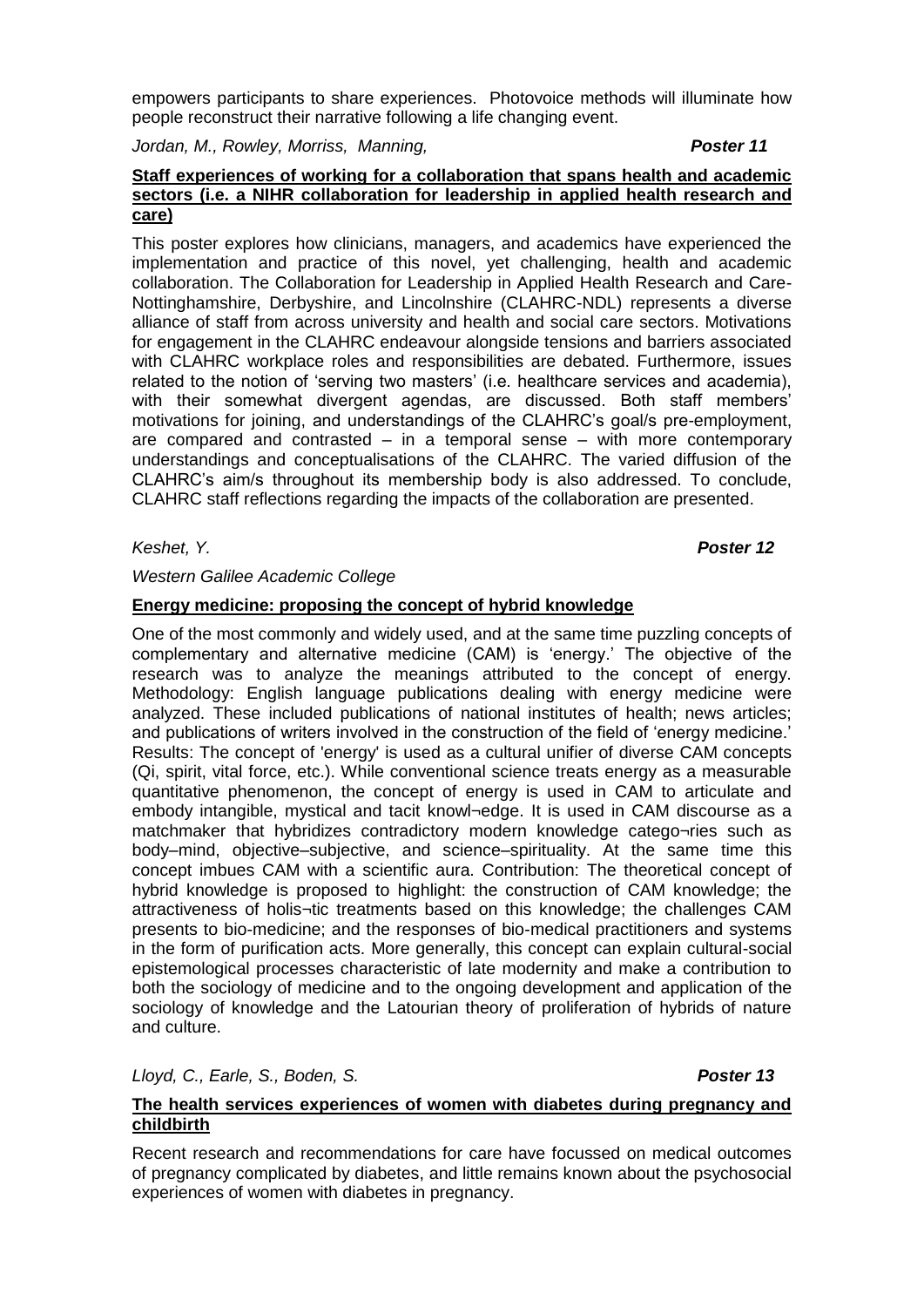empowers participants to share experiences. Photovoice methods will illuminate how people reconstruct their narrative following a life changing event.

*Jordan, M., Rowley, Morriss, Manning, Poster 11*

### **Staff experiences of working for a collaboration that spans health and academic sectors (i.e. a NIHR collaboration for leadership in applied health research and care)**

This poster explores how clinicians, managers, and academics have experienced the implementation and practice of this novel, yet challenging, health and academic collaboration. The Collaboration for Leadership in Applied Health Research and Care-Nottinghamshire, Derbyshire, and Lincolnshire (CLAHRC-NDL) represents a diverse alliance of staff from across university and health and social care sectors. Motivations for engagement in the CLAHRC endeavour alongside tensions and barriers associated with CLAHRC workplace roles and responsibilities are debated. Furthermore, issues related to the notion of 'serving two masters' (i.e. healthcare services and academia), with their somewhat divergent agendas, are discussed. Both staff members' motivations for joining, and understandings of the CLAHRC's goal/s pre-employment, are compared and contrasted – in a temporal sense – with more contemporary understandings and conceptualisations of the CLAHRC. The varied diffusion of the CLAHRC's aim/s throughout its membership body is also addressed. To conclude, CLAHRC staff reflections regarding the impacts of the collaboration are presented.

*Keshet, Y. Poster 12*

# *Western Galilee Academic College*

# **Energy medicine: proposing the concept of hybrid knowledge**

One of the most commonly and widely used, and at the same time puzzling concepts of complementary and alternative medicine (CAM) is 'energy.' The objective of the research was to analyze the meanings attributed to the concept of energy. Methodology: English language publications dealing with energy medicine were analyzed. These included publications of national institutes of health; news articles; and publications of writers involved in the construction of the field of 'energy medicine.' Results: The concept of 'energy' is used as a cultural unifier of diverse CAM concepts (Qi, spirit, vital force, etc.). While conventional science treats energy as a measurable quantitative phenomenon, the concept of energy is used in CAM to articulate and embody intangible, mystical and tacit knowl¬edge. It is used in CAM discourse as a matchmaker that hybridizes contradictory modern knowledge catego¬ries such as body–mind, objective–subjective, and science–spirituality. At the same time this concept imbues CAM with a scientific aura. Contribution: The theoretical concept of hybrid knowledge is proposed to highlight: the construction of CAM knowledge; the attractiveness of holis¬tic treatments based on this knowledge; the challenges CAM presents to bio-medicine; and the responses of bio-medical practitioners and systems in the form of purification acts. More generally, this concept can explain cultural-social epistemological processes characteristic of late modernity and make a contribution to both the sociology of medicine and to the ongoing development and application of the sociology of knowledge and the Latourian theory of proliferation of hybrids of nature and culture.

*Lloyd, C., Earle, S., Boden, S. Poster 13*

# **The health services experiences of women with diabetes during pregnancy and childbirth**

Recent research and recommendations for care have focussed on medical outcomes of pregnancy complicated by diabetes, and little remains known about the psychosocial experiences of women with diabetes in pregnancy.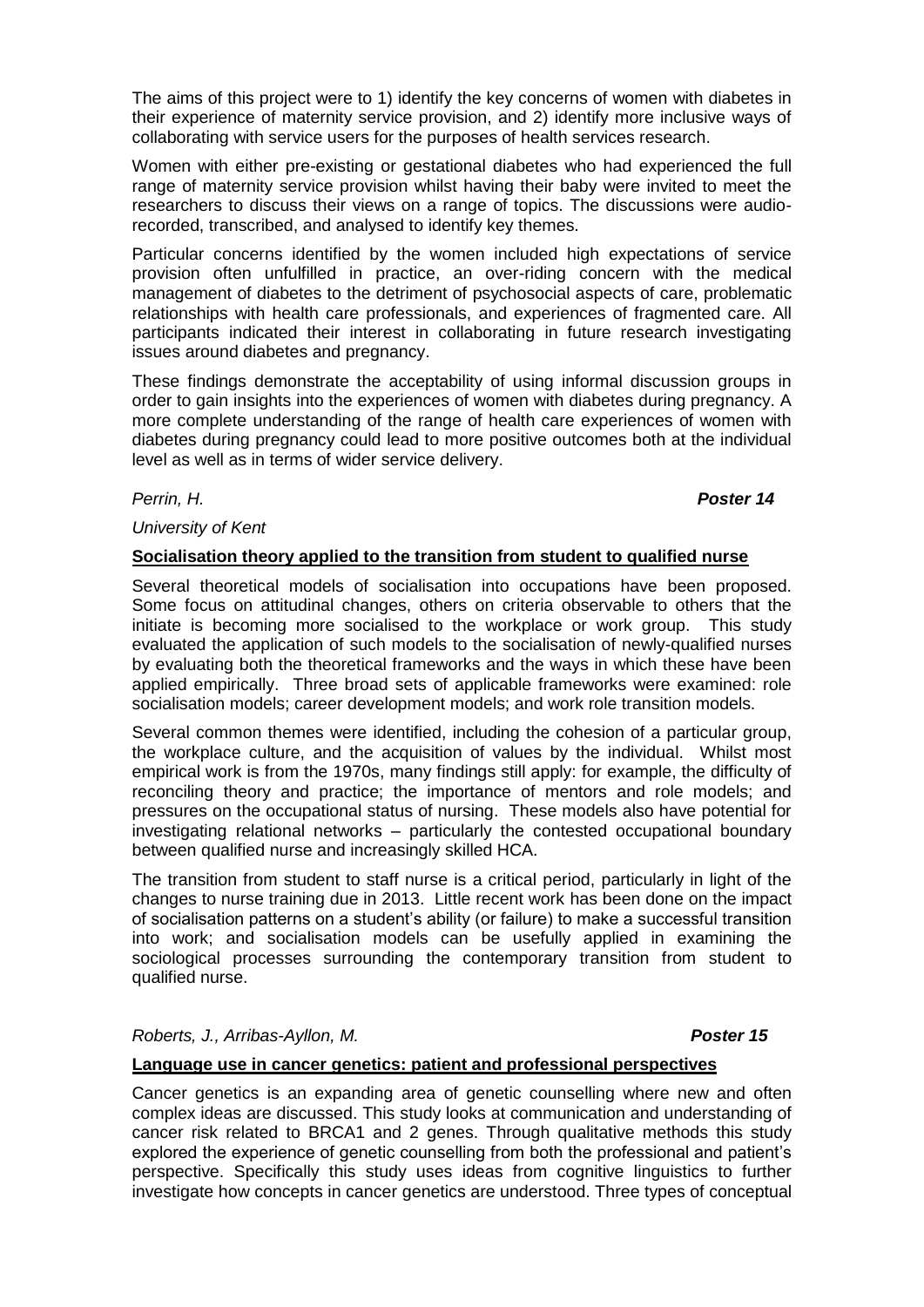The aims of this project were to 1) identify the key concerns of women with diabetes in their experience of maternity service provision, and 2) identify more inclusive ways of collaborating with service users for the purposes of health services research.

Women with either pre-existing or gestational diabetes who had experienced the full range of maternity service provision whilst having their baby were invited to meet the researchers to discuss their views on a range of topics. The discussions were audiorecorded, transcribed, and analysed to identify key themes.

Particular concerns identified by the women included high expectations of service provision often unfulfilled in practice, an over-riding concern with the medical management of diabetes to the detriment of psychosocial aspects of care, problematic relationships with health care professionals, and experiences of fragmented care. All participants indicated their interest in collaborating in future research investigating issues around diabetes and pregnancy.

These findings demonstrate the acceptability of using informal discussion groups in order to gain insights into the experiences of women with diabetes during pregnancy. A more complete understanding of the range of health care experiences of women with diabetes during pregnancy could lead to more positive outcomes both at the individual level as well as in terms of wider service delivery.

*Perrin, H. Poster 14*

# *University of Kent*

## **Socialisation theory applied to the transition from student to qualified nurse**

Several theoretical models of socialisation into occupations have been proposed. Some focus on attitudinal changes, others on criteria observable to others that the initiate is becoming more socialised to the workplace or work group. This study evaluated the application of such models to the socialisation of newly-qualified nurses by evaluating both the theoretical frameworks and the ways in which these have been applied empirically. Three broad sets of applicable frameworks were examined: role socialisation models; career development models; and work role transition models.

Several common themes were identified, including the cohesion of a particular group, the workplace culture, and the acquisition of values by the individual. Whilst most empirical work is from the 1970s, many findings still apply: for example, the difficulty of reconciling theory and practice; the importance of mentors and role models; and pressures on the occupational status of nursing. These models also have potential for investigating relational networks – particularly the contested occupational boundary between qualified nurse and increasingly skilled HCA.

The transition from student to staff nurse is a critical period, particularly in light of the changes to nurse training due in 2013. Little recent work has been done on the impact of socialisation patterns on a student's ability (or failure) to make a successful transition into work; and socialisation models can be usefully applied in examining the sociological processes surrounding the contemporary transition from student to qualified nurse.

### *Roberts, J., Arribas-Ayllon, M. Poster 15*

# **Language use in cancer genetics: patient and professional perspectives**

Cancer genetics is an expanding area of genetic counselling where new and often complex ideas are discussed. This study looks at communication and understanding of cancer risk related to BRCA1 and 2 genes. Through qualitative methods this study explored the experience of genetic counselling from both the professional and patient's perspective. Specifically this study uses ideas from cognitive linguistics to further investigate how concepts in cancer genetics are understood. Three types of conceptual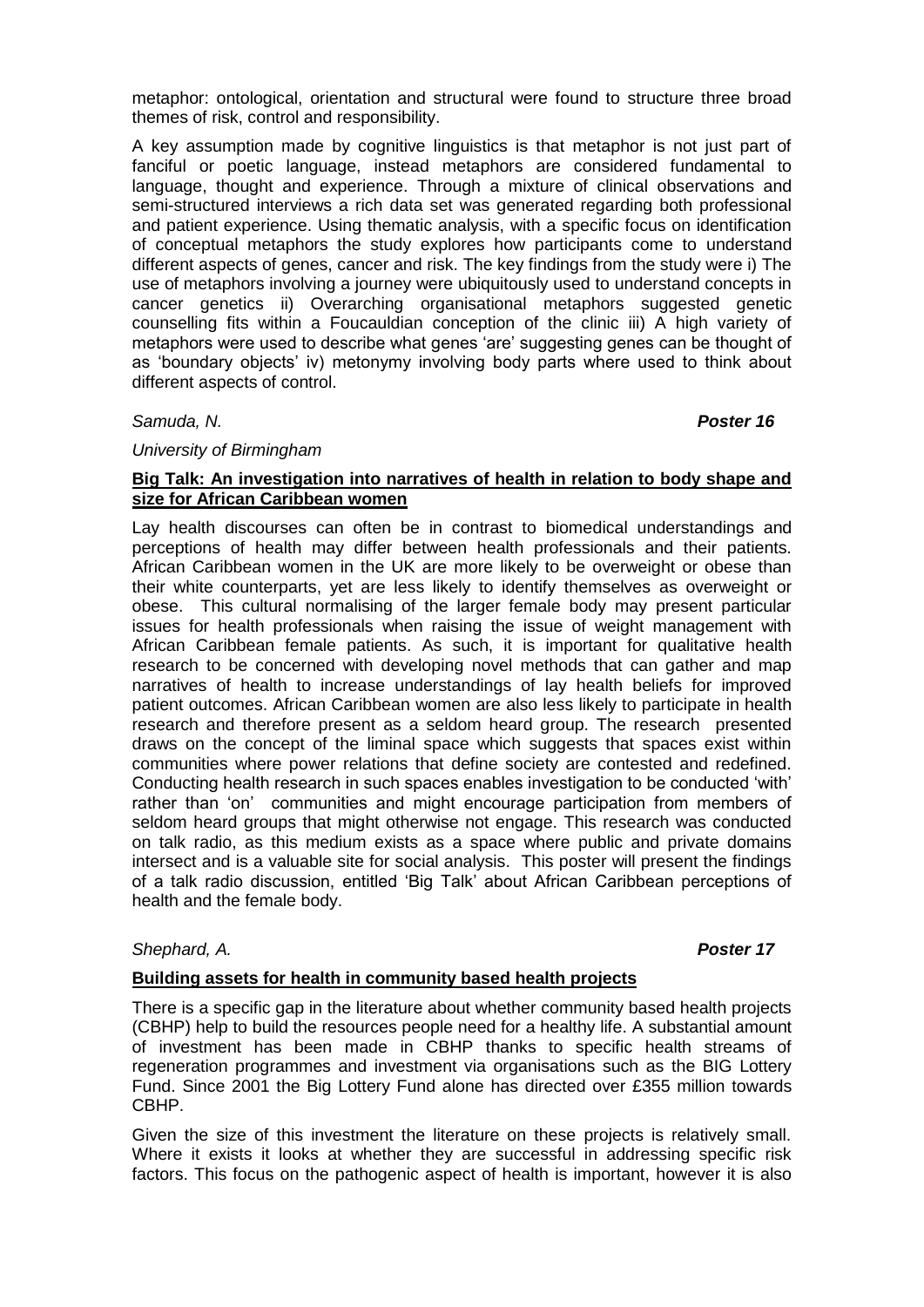metaphor: ontological, orientation and structural were found to structure three broad themes of risk, control and responsibility.

A key assumption made by cognitive linguistics is that metaphor is not just part of fanciful or poetic language, instead metaphors are considered fundamental to language, thought and experience. Through a mixture of clinical observations and semi-structured interviews a rich data set was generated regarding both professional and patient experience. Using thematic analysis, with a specific focus on identification of conceptual metaphors the study explores how participants come to understand different aspects of genes, cancer and risk. The key findings from the study were i) The use of metaphors involving a journey were ubiquitously used to understand concepts in cancer genetics ii) Overarching organisational metaphors suggested genetic counselling fits within a Foucauldian conception of the clinic iii) A high variety of metaphors were used to describe what genes 'are' suggesting genes can be thought of as 'boundary objects' iv) metonymy involving body parts where used to think about different aspects of control.

*Samuda, N. Poster 16*

## *University of Birmingham*

# **Big Talk: An investigation into narratives of health in relation to body shape and size for African Caribbean women**

Lay health discourses can often be in contrast to biomedical understandings and perceptions of health may differ between health professionals and their patients. African Caribbean women in the UK are more likely to be overweight or obese than their white counterparts, yet are less likely to identify themselves as overweight or obese. This cultural normalising of the larger female body may present particular issues for health professionals when raising the issue of weight management with African Caribbean female patients. As such, it is important for qualitative health research to be concerned with developing novel methods that can gather and map narratives of health to increase understandings of lay health beliefs for improved patient outcomes. African Caribbean women are also less likely to participate in health research and therefore present as a seldom heard group. The research presented draws on the concept of the liminal space which suggests that spaces exist within communities where power relations that define society are contested and redefined. Conducting health research in such spaces enables investigation to be conducted 'with' rather than 'on' communities and might encourage participation from members of seldom heard groups that might otherwise not engage. This research was conducted on talk radio, as this medium exists as a space where public and private domains intersect and is a valuable site for social analysis. This poster will present the findings of a talk radio discussion, entitled 'Big Talk' about African Caribbean perceptions of health and the female body.

### *Shephard, A. Poster 17*

# **Building assets for health in community based health projects**

There is a specific gap in the literature about whether community based health projects (CBHP) help to build the resources people need for a healthy life. A substantial amount of investment has been made in CBHP thanks to specific health streams of regeneration programmes and investment via organisations such as the BIG Lottery Fund. Since 2001 the Big Lottery Fund alone has directed over £355 million towards CBHP.

Given the size of this investment the literature on these projects is relatively small. Where it exists it looks at whether they are successful in addressing specific risk factors. This focus on the pathogenic aspect of health is important, however it is also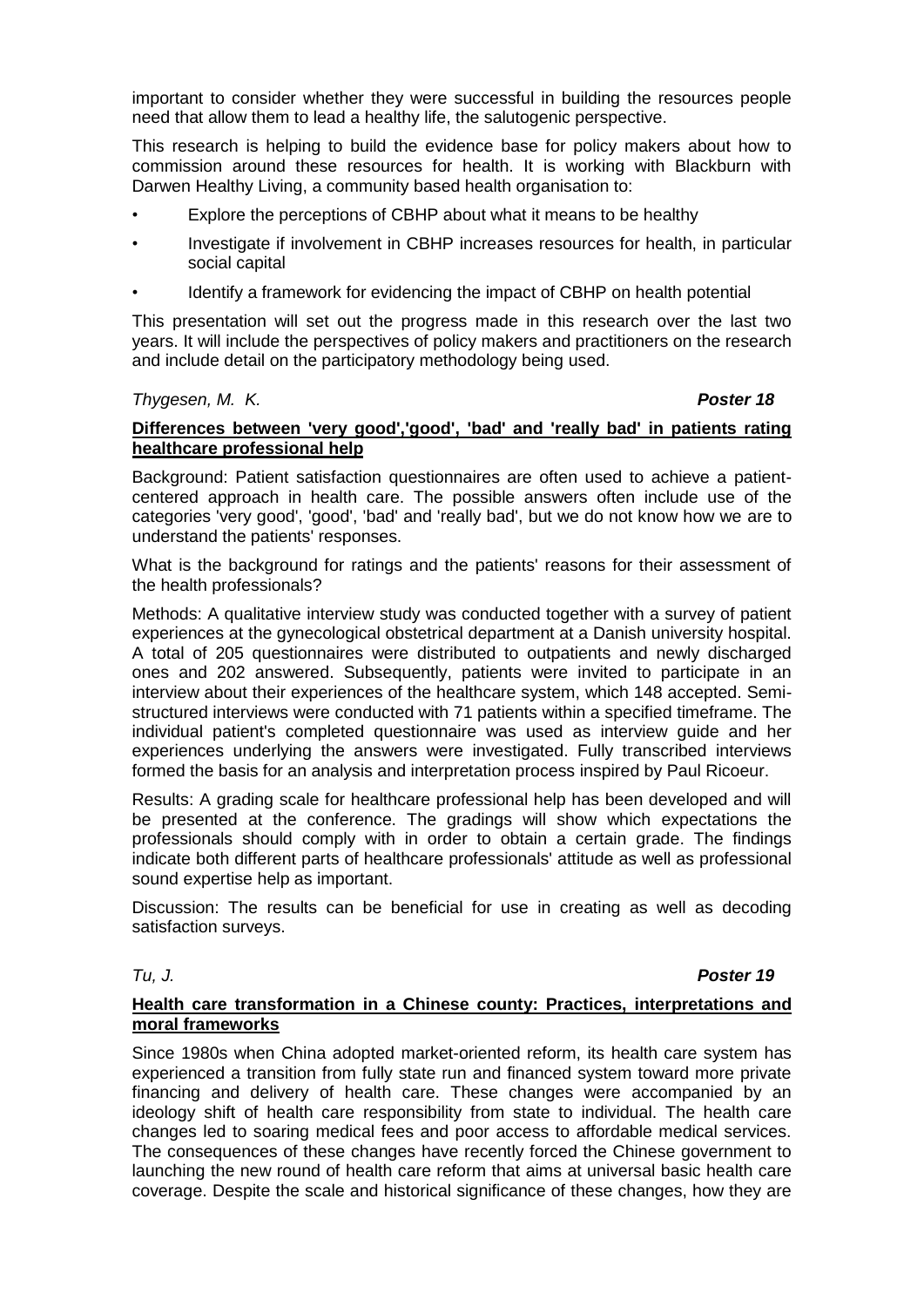important to consider whether they were successful in building the resources people need that allow them to lead a healthy life, the salutogenic perspective.

This research is helping to build the evidence base for policy makers about how to commission around these resources for health. It is working with Blackburn with Darwen Healthy Living, a community based health organisation to:

- Explore the perceptions of CBHP about what it means to be healthy
- Investigate if involvement in CBHP increases resources for health, in particular social capital
- Identify a framework for evidencing the impact of CBHP on health potential

This presentation will set out the progress made in this research over the last two years. It will include the perspectives of policy makers and practitioners on the research and include detail on the participatory methodology being used.

### *Thygesen, M. K. Poster 18*

# **Differences between 'very good','good', 'bad' and 'really bad' in patients rating healthcare professional help**

Background: Patient satisfaction questionnaires are often used to achieve a patientcentered approach in health care. The possible answers often include use of the categories 'very good', 'good', 'bad' and 'really bad', but we do not know how we are to understand the patients' responses.

What is the background for ratings and the patients' reasons for their assessment of the health professionals?

Methods: A qualitative interview study was conducted together with a survey of patient experiences at the gynecological obstetrical department at a Danish university hospital. A total of 205 questionnaires were distributed to outpatients and newly discharged ones and 202 answered. Subsequently, patients were invited to participate in an interview about their experiences of the healthcare system, which 148 accepted. Semistructured interviews were conducted with 71 patients within a specified timeframe. The individual patient's completed questionnaire was used as interview guide and her experiences underlying the answers were investigated. Fully transcribed interviews formed the basis for an analysis and interpretation process inspired by Paul Ricoeur.

Results: A grading scale for healthcare professional help has been developed and will be presented at the conference. The gradings will show which expectations the professionals should comply with in order to obtain a certain grade. The findings indicate both different parts of healthcare professionals' attitude as well as professional sound expertise help as important.

Discussion: The results can be beneficial for use in creating as well as decoding satisfaction surveys.

## *Tu, J. Poster 19*

### **Health care transformation in a Chinese county: Practices, interpretations and moral frameworks**

Since 1980s when China adopted market-oriented reform, its health care system has experienced a transition from fully state run and financed system toward more private financing and delivery of health care. These changes were accompanied by an ideology shift of health care responsibility from state to individual. The health care changes led to soaring medical fees and poor access to affordable medical services. The consequences of these changes have recently forced the Chinese government to launching the new round of health care reform that aims at universal basic health care coverage. Despite the scale and historical significance of these changes, how they are